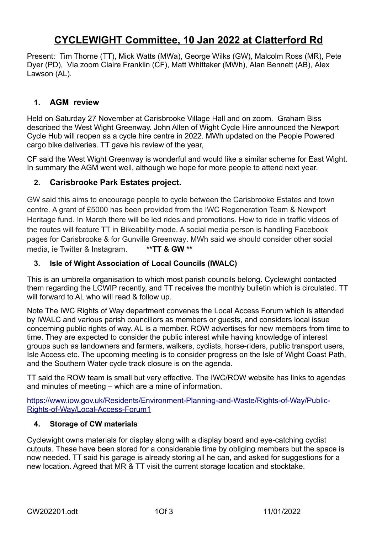# **CYCLEWIGHT Committee, 10 Jan 2022 at Clatterford Rd**

Present: Tim Thorne (TT), Mick Watts (MWa), George Wilks (GW), Malcolm Ross (MR), Pete Dyer (PD), Via zoom Claire Franklin (CF), Matt Whittaker (MWh), Alan Bennett (AB), Alex Lawson (AL).

## **1. AGM review**

Held on Saturday 27 November at Carisbrooke Village Hall and on zoom. Graham Biss described the West Wight Greenway. John Allen of Wight Cycle Hire announced the Newport Cycle Hub will reopen as a cycle hire centre in 2022. MWh updated on the People Powered cargo bike deliveries. TT gave his review of the year,

CF said the West Wight Greenway is wonderful and would like a similar scheme for East Wight. In summary the AGM went well, although we hope for more people to attend next year.

## **2. Carisbrooke Park Estates project.**

GW said this aims to encourage people to cycle between the Carisbrooke Estates and town centre. A grant of £5000 has been provided from the IWC Regeneration Team & Newport Heritage fund. In March there will be led rides and promotions. How to ride in traffic videos of the routes will feature TT in Bikeability mode. A social media person is handling Facebook pages for Carisbrooke & for Gunville Greenway. MWh said we should consider other social media, ie Twitter & Instagram. **\*\*TT & GW \*\***

#### **3. Isle of Wight Association of Local Councils (IWALC)**

This is an umbrella organisation to which most parish councils belong. Cyclewight contacted them regarding the LCWIP recently, and TT receives the monthly bulletin which is circulated. TT will forward to AL who will read & follow up.

Note The IWC Rights of Way department convenes the Local Access Forum which is attended by IWALC and various parish councillors as members or guests, and considers local issue concerning public rights of way. AL is a member. ROW advertises for new members from time to time. They are expected to consider the public interest while having knowledge of interest groups such as landowners and farmers, walkers, cyclists, horse-riders, public transport users, Isle Access etc. The upcoming meeting is to consider progress on the Isle of Wight Coast Path, and the Southern Water cycle track closure is on the agenda.

TT said the ROW team is small but very effective. The IWC/ROW website has links to agendas and minutes of meeting – which are a mine of information.

[https://www.iow.gov.uk/Residents/Environment-Planning-and-Waste/Rights-of-Way/Public-](https://www.iow.gov.uk/Residents/Environment-Planning-and-Waste/Rights-of-Way/Public-Rights-of-Way/Local-Access-Forum1)[Rights-of-Way/Local-Access-Forum1](https://www.iow.gov.uk/Residents/Environment-Planning-and-Waste/Rights-of-Way/Public-Rights-of-Way/Local-Access-Forum1) 

#### **4. Storage of CW materials**

Cyclewight owns materials for display along with a display board and eye-catching cyclist cutouts. These have been stored for a considerable time by obliging members but the space is now needed. TT said his garage is already storing all he can, and asked for suggestions for a new location. Agreed that MR & TT visit the current storage location and stocktake.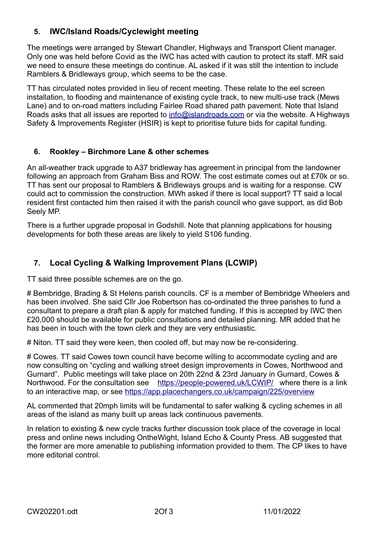# **5. IWC/Island Roads/Cyclewight meeting**

The meetings were arranged by Stewart Chandler, Highways and Transport Client manager. Only one was held before Covid as the IWC has acted with caution to protect its staff. MR said we need to ensure these meetings do continue. AL asked if it was still the intention to include Ramblers & Bridleways group, which seems to be the case.

TT has circulated notes provided in lieu of recent meeting. These relate to the eel screen installation, to flooding and maintenance of existing cycle track, to new multi-use track (Mews Lane) and to on-road matters including Fairlee Road shared path pavement. Note that Island Roads asks that all issues are reported to [info@islandroads.com](mailto:info@islandroads.com) or via the website. A Highways Safety & Improvements Register (HSIR) is kept to prioritise future bids for capital funding.

#### **6. Rookley – Birchmore Lane & other schemes**

An all-weather track upgrade to A37 bridleway has agreement in principal from the landowner following an approach from Graham Biss and ROW. The cost estimate comes out at £70k or so. TT has sent our proposal to Ramblers & Bridleways groups and is waiting for a response. CW could act to commission the construction. MWh asked if there is local support? TT said a local resident first contacted him then raised it with the parish council who gave support, as did Bob Seely MP.

There is a further upgrade proposal in Godshill. Note that planning applications for housing developments for both these areas are likely to yield S106 funding.

## **7. Local Cycling & Walking Improvement Plans (LCWIP)**

TT said three possible schemes are on the go.

# Bembridge, Brading & St Helens parish councils. CF is a member of Bembridge Wheelers and has been involved. She said Cllr Joe Robertson has co-ordinated the three parishes to fund a consultant to prepare a draft plan & apply for matched funding. If this is accepted by IWC then £20,000 should be available for public consultations and detailed planning. MR added that he has been in touch with the town clerk and they are very enthusiastic.

# Niton. TT said they were keen, then cooled off, but may now be re-considering.

# Cowes. TT said Cowes town council have become willing to accommodate cycling and are now consulting on "cycling and walking street design improvements in Cowes, Northwood and Gurnard". Public meetings will take place on 20th 22nd & 23rd January in Gurnard, Cowes & Northwood. For the consultation see <https://people-powered.uk/LCWIP/>where there is a link to an interactive map, or see<https://app.placechangers.co.uk/campaign/225/overview>

AL commented that 20mph limits will be fundamental to safer walking & cycling schemes in all areas of the island as many built up areas lack continuous pavements.

In relation to existing & new cycle tracks further discussion took place of the coverage in local press and online news including OntheWight, Island Echo & County Press. AB suggested that the former are more amenable to publishing information provided to them. The CP likes to have more editorial control.